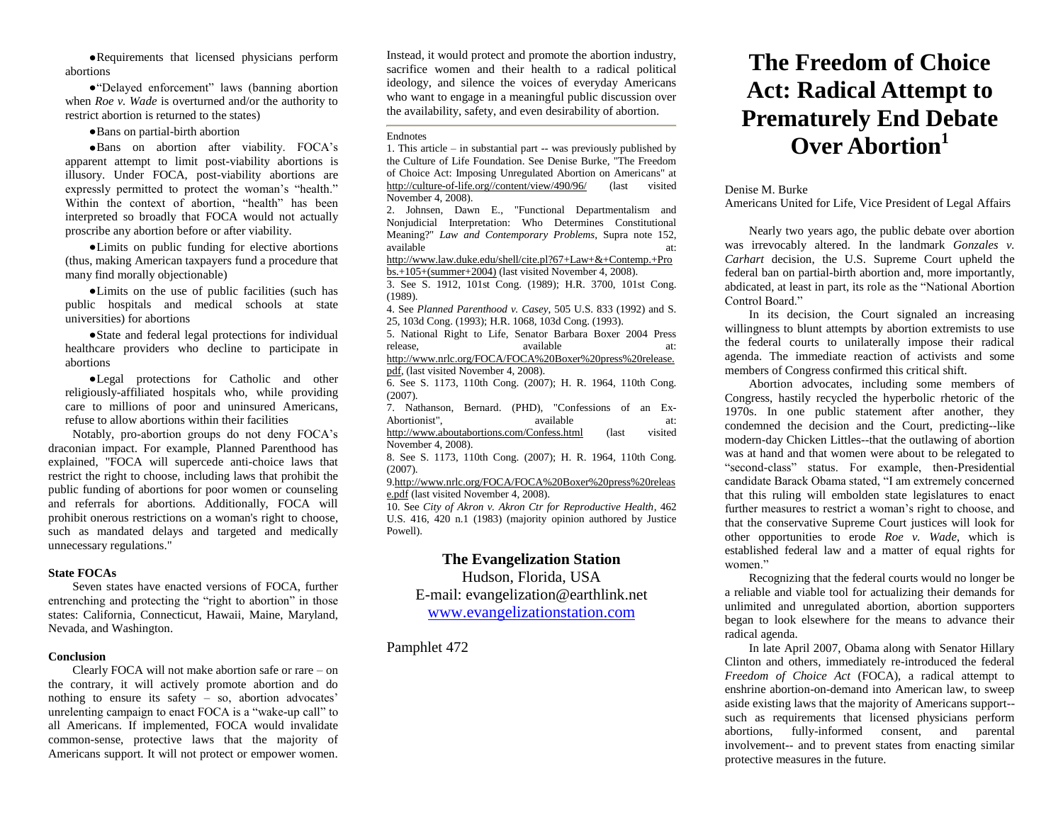Requirements that licensed physicians perform abortions

"Delayed enforcement" laws (banning abortion when *Roe v. Wade* is overturned and/or the authority to restrict abortion is returned to the states)

Bans on partial-birth abortion

Bans on abortion after viability. FOCA's apparent attempt to limit post-viability abortions is illusory. Under FOCA, post-viability abortions are expressly permitted to protect the woman's "health." Within the context of abortion, "health" has been interpreted so broadly that FOCA would not actually proscribe any abortion before or after viability.

Limits on public funding for elective abortions (thus, making American taxpayers fund a procedure that many find morally objectionable)

Limits on the use of public facilities (such has public hospitals and medical schools at state universities) for abortions

State and federal legal protections for individual healthcare providers who decline to participate in abortions

Legal protections for Catholic and other religiously-affiliated hospitals who, while providing care to millions of poor and uninsured Americans, refuse to allow abortions within their facilities

Notably, pro-abortion groups do not deny FOCA's draconian impact. For example, Planned Parenthood has explained, "FOCA will supercede anti-choice laws that restrict the right to choose, including laws that prohibit the public funding of abortions for poor women or counseling and referrals for abortions. Additionally, FOCA will prohibit onerous restrictions on a woman's right to choose, such as mandated delays and targeted and medically unnecessary regulations."

# **State FOCAs**

Seven states have enacted versions of FOCA, further entrenching and protecting the "right to abortion" in those states: California, Connecticut, Hawaii, Maine, Maryland, Nevada, and Washington.

#### **Conclusion**

Clearly FOCA will not make abortion safe or rare – on the contrary, it will actively promote abortion and do nothing to ensure its safety – so, abortion advocates' unrelenting campaign to enact FOCA is a "wake-up call" to all Americans. If implemented, FOCA would invalidate common-sense, protective laws that the majority of Americans support. It will not protect or empower women. Instead, it would protect and promote the abortion industry, sacrifice women and their health to a radical political ideology, and silence the voices of everyday Americans who want to engage in a meaningful public discussion over the availability, safety, and even desirability of abortion.

#### Endnotes

1. This article – in substantial part -- was previously published by the Culture of Life Foundation. See Denise Burke, "The Freedom of Choice Act: Imposing Unregulated Abortion on Americans" at [http://culture-of-life.org//content/view/490/96/](http://culture-of-life.org/content/view/490/96/) (last visited November 4, 2008).

2. Johnsen, Dawn E., "Functional Departmentalism and Nonjudicial Interpretation: Who Determines Constitutional Meaning?" *Law and Contemporary Problems*, Supra note 152, available at:

[http://www.law.duke.edu/shell/cite.pl?67+Law+&+Contemp.+Pro](http://www.law.duke.edu/shell/cite.pl?67+Law+&+Contemp.+Probs.+105+(summer+2004)) [bs.+105+\(summer+2004\)](http://www.law.duke.edu/shell/cite.pl?67+Law+&+Contemp.+Probs.+105+(summer+2004)) (last visited November 4, 2008).

3. See S. 1912, 101st Cong. (1989); H.R. 3700, 101st Cong. (1989).

4. See *Planned Parenthood v. Casey*, 505 U.S. 833 (1992) and S. 25, 103d Cong. (1993); H.R. 1068, 103d Cong. (1993).

5. National Right to Life, Senator Barbara Boxer 2004 Press release. available at: [http://www.nrlc.org/FOCA/FOCA%20Boxer%20press%20release.](http://www.nrlc.org/FOCA/FOCA%20Boxer%20press%20release.pdf) [pdf,](http://www.nrlc.org/FOCA/FOCA%20Boxer%20press%20release.pdf) (last visited November 4, 2008).

6. See S. 1173, 110th Cong. (2007); H. R. 1964, 110th Cong. (2007).

7. Nathanson, Bernard. (PHD), "Confessions of an Ex-Abortionist", available at: <http://www.aboutabortions.com/Confess.html> (last visited November 4, 2008).

8. See S. 1173, 110th Cong. (2007); H. R. 1964, 110th Cong. (2007).

[9.http://www.nrlc.org/FOCA/FOCA%20Boxer%20press%20releas](http://www.nrlc.org/FOCA/FOCA%20Boxer%20press%20release.pdf) [e.pdf](http://www.nrlc.org/FOCA/FOCA%20Boxer%20press%20release.pdf) (last visited November 4, 2008).

10. See *City of Akron v. Akron Ctr for Reproductive Health*, 462 U.S. 416, 420 n.1 (1983) (majority opinion authored by Justice Powell).

# **The Evangelization Station**

Hudson, Florida, USA

E-mail: evangelization@earthlink.net

[www.evangelizationstation.com](http://www.pjpiisoe.org/)

Pamphlet 472

# **The Freedom of Choice Act: Radical Attempt to Prematurely End Debate Over Abortion<sup>1</sup>**

#### Denise M. Burke

Americans United for Life, Vice President of Legal Affairs

Nearly two years ago, the public debate over abortion was irrevocably altered. In the landmark *Gonzales v. Carhart* decision, the U.S. Supreme Court upheld the federal ban on partial-birth abortion and, more importantly, abdicated, at least in part, its role as the "National Abortion Control Board."

In its decision, the Court signaled an increasing willingness to blunt attempts by abortion extremists to use the federal courts to unilaterally impose their radical agenda. The immediate reaction of activists and some members of Congress confirmed this critical shift.

Abortion advocates, including some members of Congress, hastily recycled the hyperbolic rhetoric of the 1970s. In one public statement after another, they condemned the decision and the Court, predicting--like modern-day Chicken Littles--that the outlawing of abortion was at hand and that women were about to be relegated to "second-class" status. For example, then-Presidential candidate Barack Obama stated, "I am extremely concerned that this ruling will embolden state legislatures to enact further measures to restrict a woman's right to choose, and that the conservative Supreme Court justices will look for other opportunities to erode *Roe v. Wade*, which is established federal law and a matter of equal rights for women."

Recognizing that the federal courts would no longer be a reliable and viable tool for actualizing their demands for unlimited and unregulated abortion, abortion supporters began to look elsewhere for the means to advance their radical agenda.

In late April 2007, Obama along with Senator Hillary Clinton and others, immediately re-introduced the federal *Freedom of Choice Act* (FOCA), a radical attempt to enshrine abortion-on-demand into American law, to sweep aside existing laws that the majority of Americans support- such as requirements that licensed physicians perform abortions, fully-informed consent, and parental involvement-- and to prevent states from enacting similar protective measures in the future.